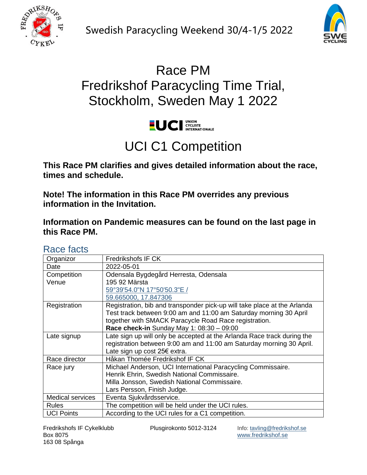



## Race PM Fredrikshof Paracycling Time Trial, Stockholm, Sweden May 1 2022



# UCI C1 Competition

**This Race PM clarifies and gives detailed information about the race, times and schedule.**

**Note! The information in this Race PM overrides any previous information in the Invitation.**

**Information on Pandemic measures can be found on the last page in this Race PM.**

#### Race facts

| Organizor               | Fredrikshofs IF CK                                                       |
|-------------------------|--------------------------------------------------------------------------|
| Date                    | 2022-05-01                                                               |
| Competition             | Odensala Bygdegård Herresta, Odensala                                    |
| Venue                   | 195 92 Märsta                                                            |
|                         | 59°39'54.0"N 17°50'50.3"E /                                              |
|                         | 59.665000, 17.847306                                                     |
| Registration            | Registration, bib and transponder pick-up will take place at the Arlanda |
|                         | Test track between 9:00 am and 11:00 am Saturday morning 30 April        |
|                         | together with SMACK Paracycle Road Race registration.                    |
|                         | Race check-in Sunday May 1: $08:30 - 09:00$                              |
| Late signup             | Late sign up will only be accepted at the Arlanda Race track during the  |
|                         | registration between 9:00 am and 11:00 am Saturday morning 30 April.     |
|                         | Late sign up cost 25€ extra.                                             |
| Race director           | Håkan Thomée Fredrikshof IF CK                                           |
| Race jury               | Michael Anderson, UCI International Paracycling Commissaire.             |
|                         | Henrik Ehrin, Swedish National Commissaire.                              |
|                         | Milla Jonsson, Swedish National Commissaire.                             |
|                         | Lars Persson, Finish Judge.                                              |
| <b>Medical services</b> | Eventa Sjukvårdsservice.                                                 |
| <b>Rules</b>            | The competition will be held under the UCI rules.                        |
| <b>UCI Points</b>       | According to the UCI rules for a C1 competition.                         |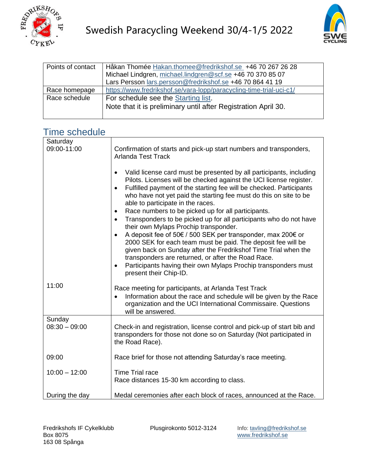



| Points of contact | Håkan Thomée Hakan.thomee@fredrikshof.se_+46 70 267 26 28           |
|-------------------|---------------------------------------------------------------------|
|                   | Michael Lindgren, michael.lindgren@scf.se +46 70 370 85 07          |
|                   | Lars Persson lars.persson@fredrikshof.se +46 70 864 41 19           |
| Race homepage     | https://www.fredrikshof.se/vara-lopp/paracycling-time-trial-uci-c1/ |
| Race schedule     | For schedule see the Starting list.                                 |
|                   | Note that it is preliminary until after Registration April 30.      |
|                   |                                                                     |

#### Time schedule

| Saturday                  |                                                                                                                                                                                                                                                                                                                                                                                                                                                                                                           |
|---------------------------|-----------------------------------------------------------------------------------------------------------------------------------------------------------------------------------------------------------------------------------------------------------------------------------------------------------------------------------------------------------------------------------------------------------------------------------------------------------------------------------------------------------|
| 09:00-11:00               | Confirmation of starts and pick-up start numbers and transponders,<br><b>Arlanda Test Track</b>                                                                                                                                                                                                                                                                                                                                                                                                           |
|                           | Valid license card must be presented by all participants, including<br>$\bullet$<br>Pilots. Licenses will be checked against the UCI license register.<br>Fulfilled payment of the starting fee will be checked. Participants<br>$\bullet$<br>who have not yet paid the starting fee must do this on site to be<br>able to participate in the races.<br>Race numbers to be picked up for all participants.<br>$\bullet$<br>Transponders to be picked up for all participants who do not have<br>$\bullet$ |
|                           | their own Mylaps Prochip transponder.<br>A deposit fee of 50€ / 500 SEK per transponder, max 200€ or<br>$\bullet$<br>2000 SEK for each team must be paid. The deposit fee will be<br>given back on Sunday after the Fredrikshof Time Trial when the<br>transponders are returned, or after the Road Race.<br>Participants having their own Mylaps Prochip transponders must<br>$\bullet$<br>present their Chip-ID.                                                                                        |
| 11:00                     |                                                                                                                                                                                                                                                                                                                                                                                                                                                                                                           |
|                           | Race meeting for participants, at Arlanda Test Track<br>Information about the race and schedule will be given by the Race<br>organization and the UCI International Commissaire. Questions<br>will be answered.                                                                                                                                                                                                                                                                                           |
| Sunday<br>$08:30 - 09:00$ | Check-in and registration, license control and pick-up of start bib and<br>transponders for those not done so on Saturday (Not participated in<br>the Road Race).                                                                                                                                                                                                                                                                                                                                         |
| 09:00                     | Race brief for those not attending Saturday's race meeting.                                                                                                                                                                                                                                                                                                                                                                                                                                               |
| $10:00 - 12:00$           | <b>Time Trial race</b><br>Race distances 15-30 km according to class.                                                                                                                                                                                                                                                                                                                                                                                                                                     |
| During the day            | Medal ceremonies after each block of races, announced at the Race.                                                                                                                                                                                                                                                                                                                                                                                                                                        |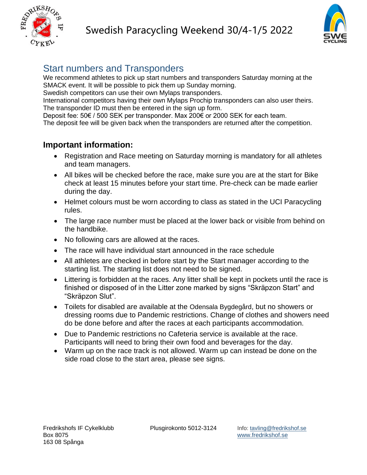



#### Start numbers and Transponders

We recommend athletes to pick up start numbers and transponders Saturday morning at the SMACK event. It will be possible to pick them up Sunday morning.

Swedish competitors can use their own Mylaps transponders.

International competitors having their own Mylaps Prochip transponders can also user theirs. The transponder ID must then be entered in the sign up form.

Deposit fee: 50€ / 500 SEK per transponder. Max 200€ or 2000 SEK for each team.

The deposit fee will be given back when the transponders are returned after the competition.

#### **Important information:**

- Registration and Race meeting on Saturday morning is mandatory for all athletes and team managers.
- All bikes will be checked before the race, make sure you are at the start for Bike check at least 15 minutes before your start time. Pre-check can be made earlier during the day.
- Helmet colours must be worn according to class as stated in the UCI Paracycling rules.
- The large race number must be placed at the lower back or visible from behind on the handbike.
- No following cars are allowed at the races.
- The race will have individual start announced in the race schedule
- All athletes are checked in before start by the Start manager according to the starting list. The starting list does not need to be signed.
- Littering is forbidden at the races. Any litter shall be kept in pockets until the race is finished or disposed of in the Litter zone marked by signs "Skräpzon Start" and "Skräpzon Slut".
- Toilets for disabled are available at the Odensala Bygdegård, but no showers or dressing rooms due to Pandemic restrictions. Change of clothes and showers need do be done before and after the races at each participants accommodation.
- Due to Pandemic restrictions no Cafeteria service is available at the race. Participants will need to bring their own food and beverages for the day.
- Warm up on the race track is not allowed. Warm up can instead be done on the side road close to the start area, please see signs.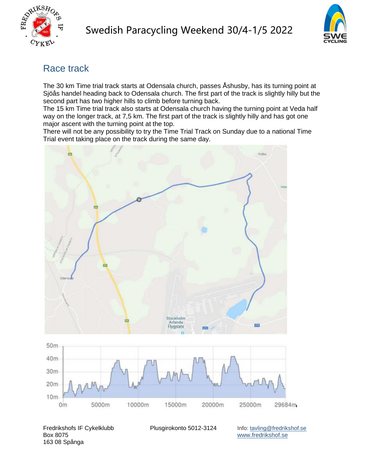



### Race track

The 30 km Time trial track starts at Odensala church, passes Åshusby, has its turning point at Sjöås handel heading back to Odensala church. The first part of the track is slightly hilly but the second part has two higher hills to climb before turning back.

The 15 km Time trial track also starts at Odensala church having the turning point at Veda half way on the longer track, at 7,5 km. The first part of the track is slightly hilly and has got one major ascent with the turning point at the top.

There will not be any possibility to try the Time Trial Track on Sunday due to a national Time Trial event taking place on the track during the same day.



Fredrikshofs IF Cykelklubb Plusgirokonto 5012-3124 Info: [tavling@fredrikshof.se](mailto:tavling@fredrikshof.se)<br>Box 8075 www.fredrikshof.se 163 08 Spånga

[www.fredrikshof.se](http://www.fredrikshof.se/)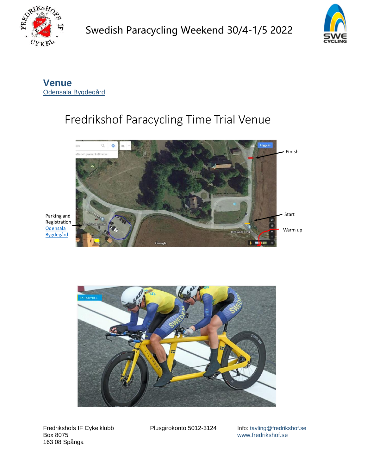



**Venue** [Odensala Bygdegård](https://goo.gl/maps/gJzY754f8uXXtWWC8)

## Fredrikshof Paracycling Time Trial Venue



Parking and Registration **Odensala Bygdegård** 



Fredrikshofs IF Cykelklubb Plusgirokonto 5012-3124 Info: [tavling@fredrikshof.se](mailto:tavling@fredrikshof.se)<br>Box 8075 www.fredrikshof.se 163 08 Spånga

[www.fredrikshof.se](http://www.fredrikshof.se/)